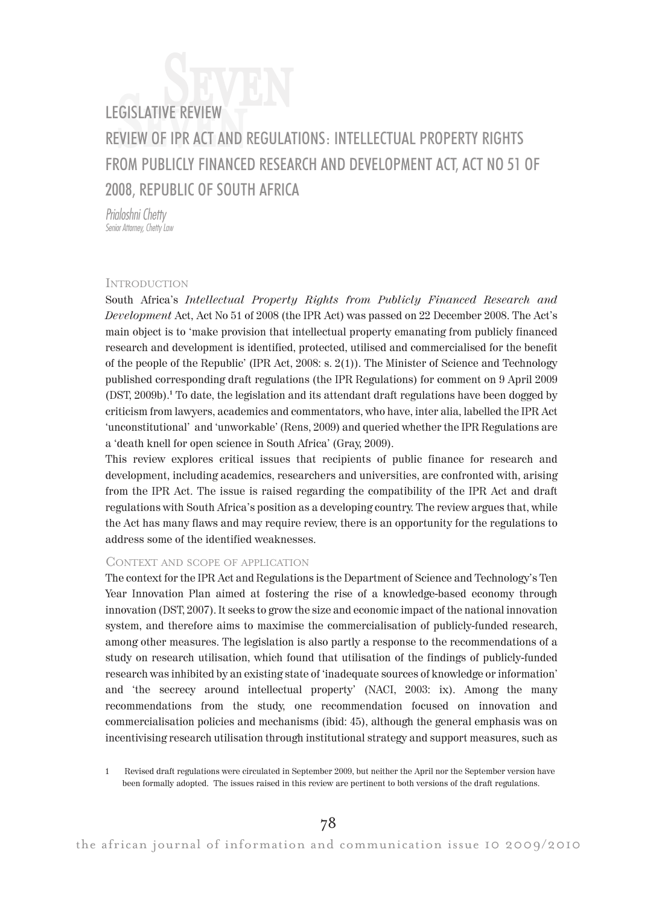# LEGISLATIVE REVIEW<br>REVIEW OF IPR ACT AND REGULATIONS: INTELLECTUAL PROPERTY RIGHTS Seven FROM PUBLICLY FINANCED RESEARCH AND DEVELOPMENT ACT, ACT NO 51 OF 2008, REPUBLIC OF SOUTH AFRICA

Prialoshni Chetty Senior Attorney, Chetty<sup>'</sup> Law

### INTRODUCTION

South Africa's Intellectual Property Rights from Publicly Financed Research and Development Act, Act No 51 of 2008 (the IPR Act) was passed on 22 December 2008. The Act's main object is to 'make provision that intellectual property emanating from publicly financed research and development is identified, protected, utilised and commercialised for the benefit of the people of the Republic' (IPR Act, 2008: s. 2(1)). The Minister of Science and Technology published corresponding draft regulations (the IPR Regulations) for comment on 9 April 2009 (DST, 2009b).<sup>1</sup> To date, the legislation and its attendant draft regulations have been dogged by criticism from lawyers, academics and commentators, who have, inter alia, labelled the IPR Act 'unconstitutional' and 'unworkable' (Rens, 2009) and queried whether the IPR Regulations are a 'death knell for open science in South Africa' (Gray, 2009).

This review explores critical issues that recipients of public finance for research and development, including academics, researchers and universities, are confronted with, arising from the IPR Act. The issue is raised regarding the compatibility of the IPR Act and draft regulations with South Africa's position as a developing country. The review argues that, while the Act has many flaws and may require review, there is an opportunity for the regulations to address some of the identified weaknesses.

## CONTEXT AND SCOPE OF APPLICATION

The context for the IPR Act and Regulations is the Department of Science and Technology's Ten Year Innovation Plan aimed at fostering the rise of a knowledge-based economy through innovation (DST, 2007). It seeks to grow the size and economic impact of the national innovation system, and therefore aims to maximise the commercialisation of publicly-funded research, among other measures. The legislation is also partly a response to the recommendations of a study on research utilisation, which found that utilisation of the findings of publicly-funded research was inhibited by an existing state of 'inadequate sources of knowledge or information' and 'the secrecy around intellectual property' (NACI, 2003: ix). Among the many recommendations from the study, one recommendation focused on innovation and commercialisation policies and mechanisms (ibid: 45), although the general emphasis was on incentivising research utilisation through institutional strategy and support measures, such as

<sup>1</sup> Revised draft regulations were circulated in September 2009, but neither the April nor the September version have been formally adopted. The issues raised in this review are pertinent to both versions of the draft regulations.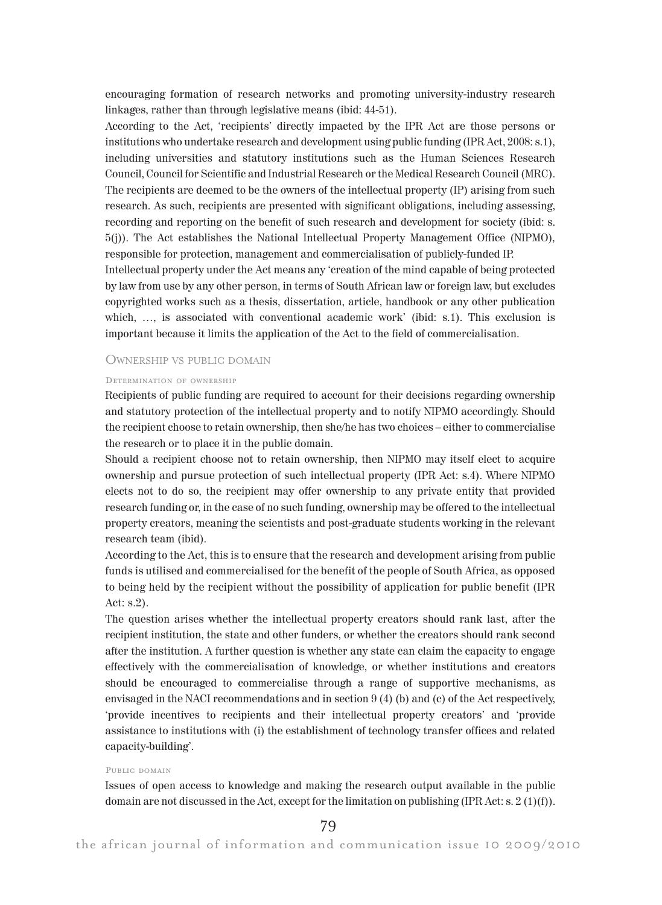encouraging formation of research networks and promoting university-industry research linkages, rather than through legislative means (ibid: 44-51).

According to the Act, 'recipients' directly impacted by the IPR Act are those persons or institutions who undertake research and development using public funding (IPR Act, 2008: s.1), including universities and statutory institutions such as the Human Sciences Research Council, Council for Scientific and Industrial Research or the Medical Research Council (MRC). The recipients are deemed to be the owners of the intellectual property (IP) arising from such research. As such, recipients are presented with significant obligations, including assessing, recording and reporting on the benefit of such research and development for society (ibid: s. 5(j)). The Act establishes the National Intellectual Property Management Office (NIPMO), responsible for protection, management and commercialisation of publicly-funded IP. Intellectual property under the Act means any 'creation of the mind capable of being protected

by law from use by any other person, in terms of South African law or foreign law, but excludes copyrighted works such as a thesis, dissertation, article, handbook or any other publication which, ..., is associated with conventional academic work' (ibid: s.1). This exclusion is important because it limits the application of the Act to the field of commercialisation.

## OWNERSHIP VS PUBLIC DOMAIN

#### DETERMINATION OF OWNERSHIP

Recipients of public funding are required to account for their decisions regarding ownership and statutory protection of the intellectual property and to notify NIPMO accordingly. Should the recipient choose to retain ownership, then she/he has two choices – either to commercialise the research or to place it in the public domain.

Should a recipient choose not to retain ownership, then NIPMO may itself elect to acquire ownership and pursue protection of such intellectual property (IPR Act: s.4). Where NIPMO elects not to do so, the recipient may offer ownership to any private entity that provided research funding or, in the case of no such funding, ownership may be offered to the intellectual property creators, meaning the scientists and post-graduate students working in the relevant research team (ibid).

According to the Act, this is to ensure that the research and development arising from public funds is utilised and commercialised for the benefit of the people of South Africa, as opposed to being held by the recipient without the possibility of application for public benefit (IPR Act: s.2).

The question arises whether the intellectual property creators should rank last, after the recipient institution, the state and other funders, or whether the creators should rank second after the institution. A further question is whether any state can claim the capacity to engage effectively with the commercialisation of knowledge, or whether institutions and creators should be encouraged to commercialise through a range of supportive mechanisms, as envisaged in the NACI recommendations and in section 9 (4) (b) and (c) of the Act respectively, 'provide incentives to recipients and their intellectual property creators' and 'provide assistance to institutions with (i) the establishment of technology transfer offices and related capacity-building'.

#### PUBLIC DOMAIN

Issues of open access to knowledge and making the research output available in the public domain are not discussed in the Act, except for the limitation on publishing (IPR Act: s. 2 (1)(f)).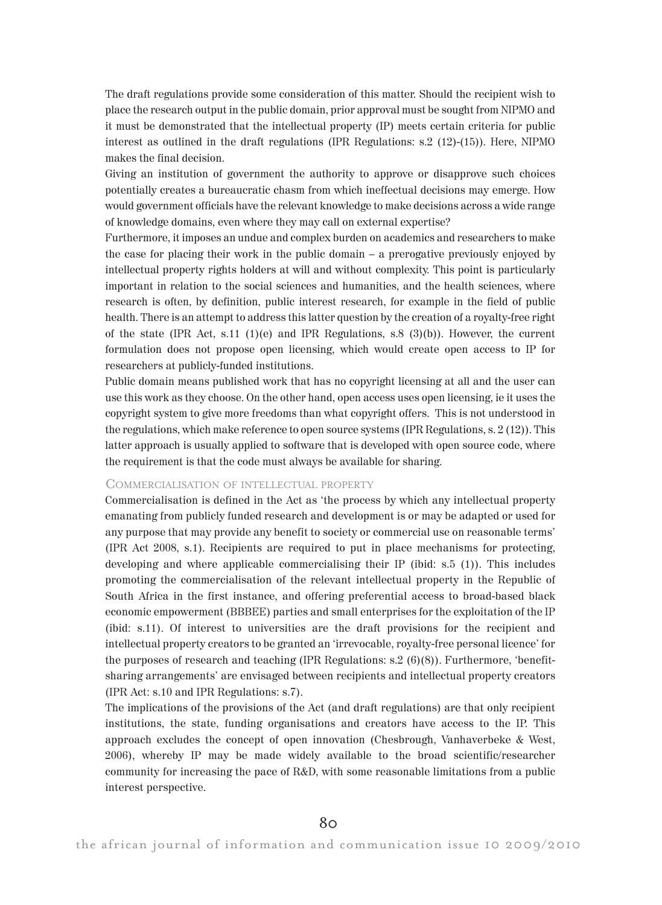The draft regulations provide some consideration of this matter. Should the recipient wish to place the research output in the public domain, prior approval must be sought from NIPMO and it must be demonstrated that the intellectual property (IP) meets certain criteria for public interest as outlined in the draft regulations (IPR Regulations: s.2 (12)-(15)). Here, NIPMO makes the final decision.

Giving an institution of government the authority to approve or disapprove such choices potentially creates a bureaucratic chasm from which ineffectual decisions may emerge. How would government officials have the relevant knowledge to make decisions across a wide range of knowledge domains, even where they may call on external expertise?

Furthermore, it imposes an undue and complex burden on academics and researchers to make the case for placing their work in the public domain – a prerogative previously enjoyed by intellectual property rights holders at will and without complexity. This point is particularly important in relation to the social sciences and humanities, and the health sciences, where research is often, by definition, public interest research, for example in the field of public health. There is an attempt to address this latter question by the creation of a royalty-free right of the state (IPR Act, s.11 (1)(e) and IPR Regulations, s.8 (3)(b)). However, the current formulation does not propose open licensing, which would create open access to IP for researchers at publicly-funded institutions.

Public domain means published work that has no copyright licensing at all and the user can use this work as they choose. On the other hand, open access uses open licensing, ie it uses the copyright system to give more freedoms than what copyright offers. This is not understood in the regulations, which make reference to open source systems (IPR Regulations, s. 2 (12)). This latter approach is usually applied to software that is developed with open source code, where the requirement is that the code must always be available for sharing.

## COMMERCIALISATION OF INTELLECTUAL PROPERTY

Commercialisation is defined in the Act as 'the process by which any intellectual property emanating from publicly funded research and development is or may be adapted or used for any purpose that may provide any benefit to society or commercial use on reasonable terms' (IPR Act 2008, s.1). Recipients are required to put in place mechanisms for protecting, developing and where applicable commercialising their IP (ibid: s.5 (1)). This includes promoting the commercialisation of the relevant intellectual property in the Republic of South Africa in the first instance, and offering preferential access to broad-based black economic empowerment (BBBEE) parties and small enterprises for the exploitation of the IP (ibid: s.11). Of interest to universities are the draft provisions for the recipient and intellectual property creators to be granted an 'irrevocable, royalty-free personal licence' for the purposes of research and teaching (IPR Regulations: s.2 (6)(8)). Furthermore, 'benefitsharing arrangements' are envisaged between recipients and intellectual property creators (IPR Act: s.10 and IPR Regulations: s.7).

The implications of the provisions of the Act (and draft regulations) are that only recipient institutions, the state, funding organisations and creators have access to the IP. This approach excludes the concept of open innovation (Chesbrough, Vanhaverbeke & West, 2006), whereby IP may be made widely available to the broad scientific/researcher community for increasing the pace of R&D, with some reasonable limitations from a public interest perspective.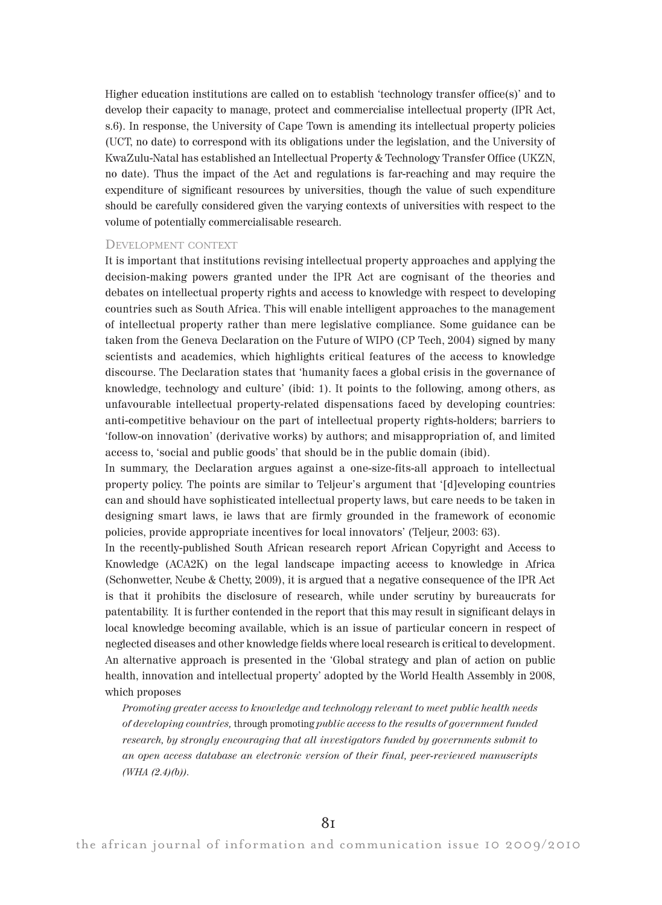Higher education institutions are called on to establish 'technology transfer office(s)' and to develop their capacity to manage, protect and commercialise intellectual property (IPR Act, s.6). In response, the University of Cape Town is amending its intellectual property policies (UCT, no date) to correspond with its obligations under the legislation, and the University of KwaZulu-Natal has established an Intellectual Property & Technology Transfer Office (UKZN, no date). Thus the impact of the Act and regulations is far-reaching and may require the expenditure of significant resources by universities, though the value of such expenditure should be carefully considered given the varying contexts of universities with respect to the volume of potentially commercialisable research.

## DEVELOPMENT CONTEXT

It is important that institutions revising intellectual property approaches and applying the decision-making powers granted under the IPR Act are cognisant of the theories and debates on intellectual property rights and access to knowledge with respect to developing countries such as South Africa. This will enable intelligent approaches to the management of intellectual property rather than mere legislative compliance. Some guidance can be taken from the Geneva Declaration on the Future of WIPO (CP Tech, 2004) signed by many scientists and academics, which highlights critical features of the access to knowledge discourse. The Declaration states that 'humanity faces a global crisis in the governance of knowledge, technology and culture' (ibid: 1). It points to the following, among others, as unfavourable intellectual property-related dispensations faced by developing countries: anti-competitive behaviour on the part of intellectual property rights-holders; barriers to 'follow-on innovation' (derivative works) by authors; and misappropriation of, and limited access to, 'social and public goods' that should be in the public domain (ibid).

In summary, the Declaration argues against a one-size-fits-all approach to intellectual property policy. The points are similar to Teljeur's argument that '[d]eveloping countries can and should have sophisticated intellectual property laws, but care needs to be taken in designing smart laws, ie laws that are firmly grounded in the framework of economic policies, provide appropriate incentives for local innovators' (Teljeur, 2003: 63).

In the recently-published South African research report African Copyright and Access to Knowledge (ACA2K) on the legal landscape impacting access to knowledge in Africa (Schonwetter, Ncube & Chetty, 2009), it is argued that a negative consequence of the IPR Act is that it prohibits the disclosure of research, while under scrutiny by bureaucrats for patentability. It is further contended in the report that this may result in significant delays in local knowledge becoming available, which is an issue of particular concern in respect of neglected diseases and other knowledge fields where local research is critical to development. An alternative approach is presented in the 'Global strategy and plan of action on public health, innovation and intellectual property' adopted by the World Health Assembly in 2008, which proposes

Promoting greater access to knowledge and technology relevant to meet public health needs of developing countries, through promoting public access to the results of government funded research, by strongly encouraging that all investigators funded by governments submit to an open access database an electronic version of their final, peer-reviewed manuscripts  $(WHA (2.4)(b)).$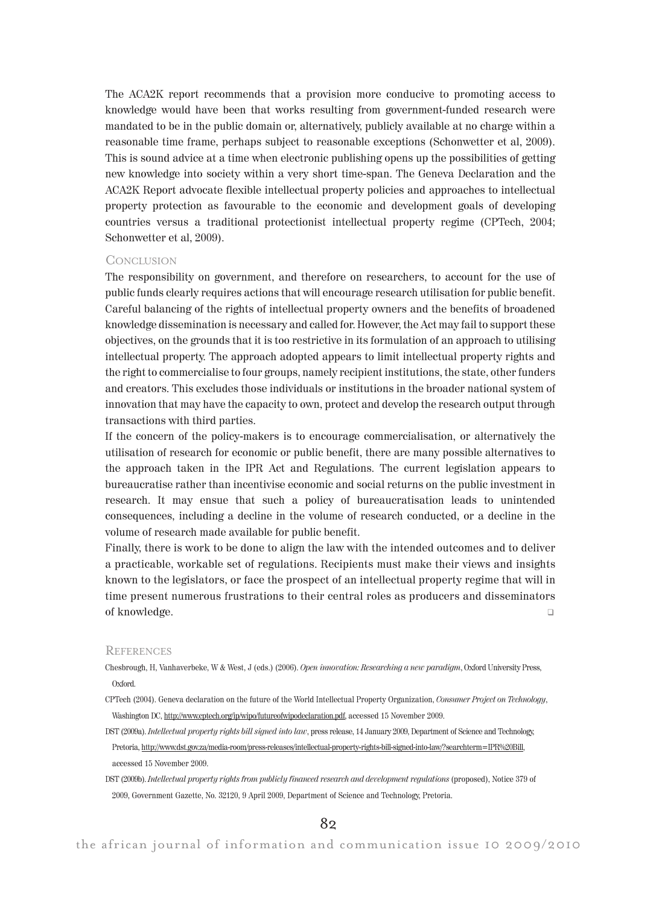The ACA2K report recommends that a provision more conducive to promoting access to knowledge would have been that works resulting from government-funded research were mandated to be in the public domain or, alternatively, publicly available at no charge within a reasonable time frame, perhaps subject to reasonable exceptions (Schonwetter et al, 2009). This is sound advice at a time when electronic publishing opens up the possibilities of getting new knowledge into society within a very short time-span. The Geneva Declaration and the ACA2K Report advocate flexible intellectual property policies and approaches to intellectual property protection as favourable to the economic and development goals of developing countries versus a traditional protectionist intellectual property regime (CPTech, 2004; Schonwetter et al, 2009).

## CONCLUSION

The responsibility on government, and therefore on researchers, to account for the use of public funds clearly requires actions that will encourage research utilisation for public benefit. Careful balancing of the rights of intellectual property owners and the benefits of broadened knowledge dissemination is necessary and called for. However, the Act may fail to support these objectives, on the grounds that it is too restrictive in its formulation of an approach to utilising intellectual property. The approach adopted appears to limit intellectual property rights and the right to commercialise to four groups, namely recipient institutions, the state, other funders and creators. This excludes those individuals or institutions in the broader national system of innovation that may have the capacity to own, protect and develop the research output through transactions with third parties.

If the concern of the policy-makers is to encourage commercialisation, or alternatively the utilisation of research for economic or public benefit, there are many possible alternatives to the approach taken in the IPR Act and Regulations. The current legislation appears to bureaucratise rather than incentivise economic and social returns on the public investment in research. It may ensue that such a policy of bureaucratisation leads to unintended consequences, including a decline in the volume of research conducted, or a decline in the volume of research made available for public benefit.

Finally, there is work to be done to align the law with the intended outcomes and to deliver a practicable, workable set of regulations. Recipients must make their views and insights known to the legislators, or face the prospect of an intellectual property regime that will in time present numerous frustrations to their central roles as producers and disseminators of knowledge. -

#### **REFERENCES**

- Chesbrough, H, Vanhaverbeke, W & West, J (eds.) (2006). Open innovation: Researching a new paradigm, Oxford University Press, Oxford.
- CPTech (2004). Geneva declaration on the future of the World Intellectual Property Organization, Consumer Project on Technology, Washington DC, http://www.cptech.org/ip/wipo/futureofwipodeclaration.pdf, accessed 15 November 2009.
- DST (2009a). Intellectual property rights bill signed into law, press release, 14 January 2009, Department of Science and Technology, Pretoria, http://www.dst.gov.za/media-room/press-releases/intellectual-property-rights-bill-signed-into-law/?searchterm=IPR%20Bill, accessed 15 November 2009.
- DST (2009b). Intellectual property rights from publicly financed research and development regulations (proposed), Notice 379 of 2009, Government Gazette, No. 32120, 9 April 2009, Department of Science and Technology, Pretoria.